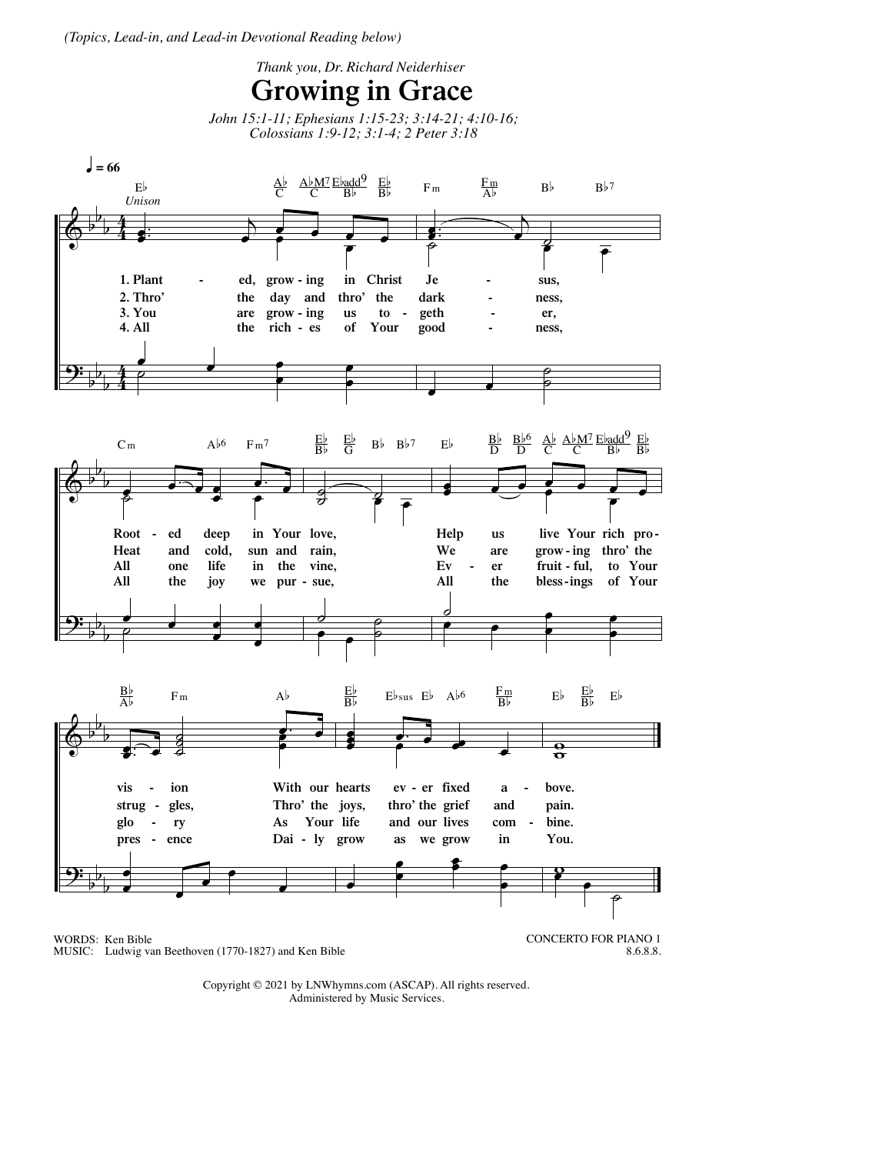*(Topics, Lead-in, and Lead-in Devotional Reading below)*



Copyright © 2021 by LNWhymns.com (ASCAP). All rights reserved. Administered by Music Services.